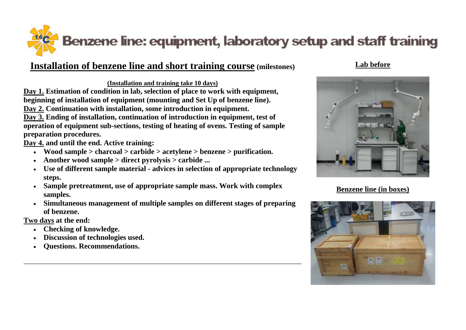

## **Installation of benzene line and short training course (milestones)**

**(Installation and training take 10 days)**

**Day 1. Estimation of condition in lab, selection of place to work with equipment, beginning of installation of equipment (mounting and Set Up of benzene line). Day 2. Continuation with installation, some introduction in equipment.** 

**Day 3. Ending of installation, continuation of introduction in equipment, test of operation of equipment sub-sections, testing of heating of ovens. Testing of sample preparation procedures.** 

**Day 4. and until the end. Active training:** 

- **Wood sample > charcoal > carbide > acetylene > benzene > purification.**
- **Another wood sample > direct pyrolysis > carbide ...**
- **Use of different sample material - advices in selection of appropriate technology steps.**
- **Sample pretreatment, use of appropriate sample mass. Work with complex samples.**
- **Simultaneous management of multiple samples on different stages of preparing of benzene.**

**Two days at the end:** 

- **Checking of knowledge.**
- **Discussion of technologies used.**
- **Questions. Recommendations.**

## **Lab before**



**Benzene line (in boxes)**